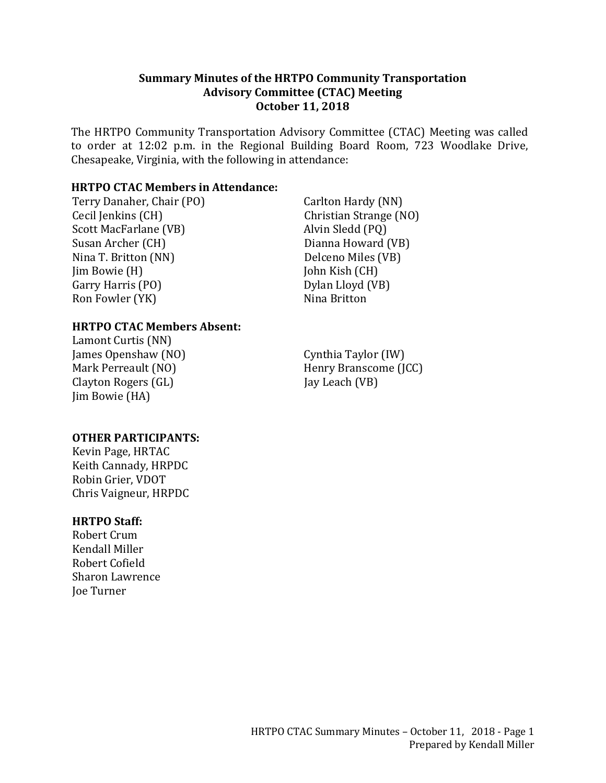#### **Summary Minutes of the HRTPO Community Transportation Advisory Committee (CTAC) Meeting October 11, 2018**

The HRTPO Community Transportation Advisory Committee (CTAC) Meeting was called to order at 12:02 p.m. in the Regional Building Board Room, 723 Woodlake Drive, Chesapeake, Virginia, with the following in attendance:

### **HRTPO CTAC Members in Attendance:**

Terry Danaher, Chair (PO) Cecil Jenkins (CH) Scott MacFarlane (VB) Susan Archer (CH) Nina T. Britton (NN) Jim Bowie (H) Garry Harris (PO) Ron Fowler (YK)

Carlton Hardy (NN) Christian Strange (NO) Alvin Sledd (PQ) Dianna Howard (VB) Delceno Miles (VB) John Kish (CH) Dylan Lloyd (VB) Nina Britton

#### **HRTPO CTAC Members Absent:**

Lamont Curtis (NN) James Openshaw (NO) Mark Perreault (NO) Clayton Rogers (GL) Jim Bowie (HA)

**OTHER PARTICIPANTS:**

Kevin Page, HRTAC Keith Cannady, HRPDC Robin Grier, VDOT Chris Vaigneur, HRPDC

#### **HRTPO Staff:**

Robert Crum Kendall Miller Robert Cofield Sharon Lawrence Joe Turner

Cynthia Taylor (IW) Henry Branscome (JCC) Jay Leach (VB)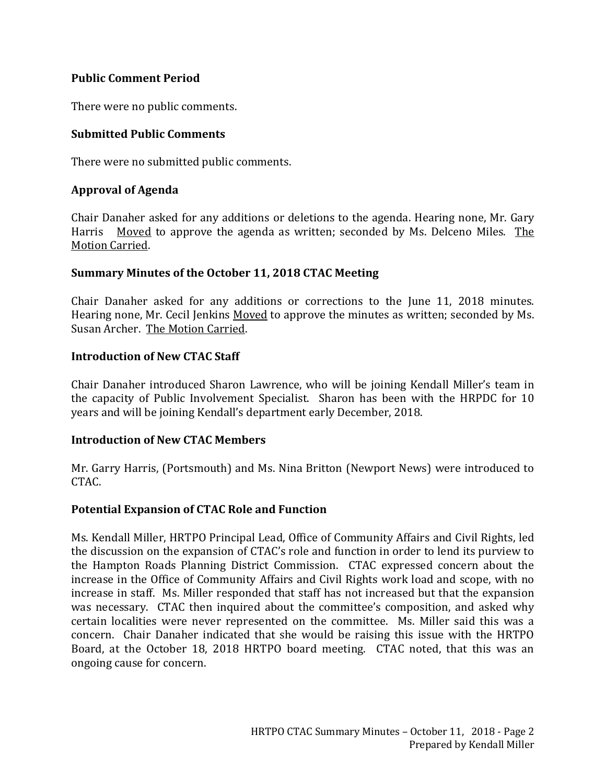## **Public Comment Period**

There were no public comments.

## **Submitted Public Comments**

There were no submitted public comments.

## **Approval of Agenda**

Chair Danaher asked for any additions or deletions to the agenda. Hearing none, Mr. Gary Harris Moved to approve the agenda as written; seconded by Ms. Delceno Miles. The Motion Carried.

#### **Summary Minutes of the October 11, 2018 CTAC Meeting**

Chair Danaher asked for any additions or corrections to the June 11, 2018 minutes. Hearing none, Mr. Cecil Jenkins Moved to approve the minutes as written; seconded by Ms. Susan Archer. The Motion Carried.

#### **Introduction of New CTAC Staff**

Chair Danaher introduced Sharon Lawrence, who will be joining Kendall Miller's team in the capacity of Public Involvement Specialist. Sharon has been with the HRPDC for 10 years and will be joining Kendall's department early December, 2018.

#### **Introduction of New CTAC Members**

Mr. Garry Harris, (Portsmouth) and Ms. Nina Britton (Newport News) were introduced to CTAC.

#### **Potential Expansion of CTAC Role and Function**

Ms. Kendall Miller, HRTPO Principal Lead, Office of Community Affairs and Civil Rights, led the discussion on the expansion of CTAC's role and function in order to lend its purview to the Hampton Roads Planning District Commission. CTAC expressed concern about the increase in the Office of Community Affairs and Civil Rights work load and scope, with no increase in staff. Ms. Miller responded that staff has not increased but that the expansion was necessary. CTAC then inquired about the committee's composition, and asked why certain localities were never represented on the committee. Ms. Miller said this was a concern. Chair Danaher indicated that she would be raising this issue with the HRTPO Board, at the October 18, 2018 HRTPO board meeting. CTAC noted, that this was an ongoing cause for concern.